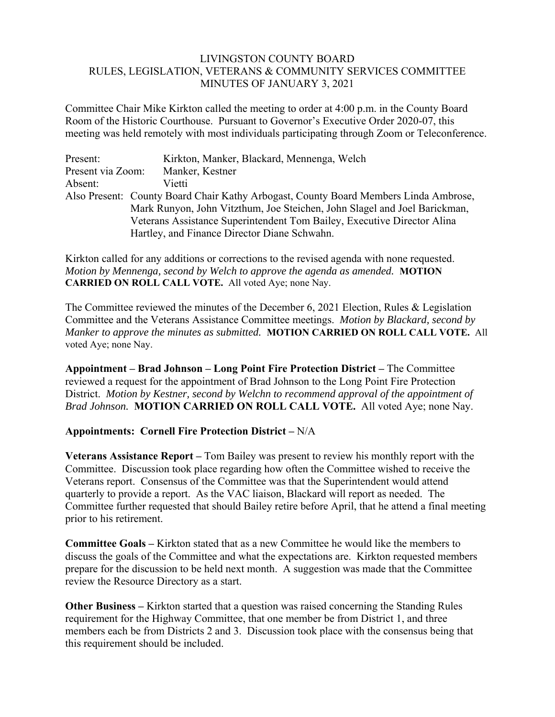## LIVINGSTON COUNTY BOARD RULES, LEGISLATION, VETERANS & COMMUNITY SERVICES COMMITTEE MINUTES OF JANUARY 3, 2021

Committee Chair Mike Kirkton called the meeting to order at 4:00 p.m. in the County Board Room of the Historic Courthouse. Pursuant to Governor's Executive Order 2020-07, this meeting was held remotely with most individuals participating through Zoom or Teleconference.

| Present:          | Kirkton, Manker, Blackard, Mennenga, Welch                                           |
|-------------------|--------------------------------------------------------------------------------------|
| Present via Zoom: | Manker, Kestner                                                                      |
| Absent:           | Vietti                                                                               |
|                   | Also Present: County Board Chair Kathy Arbogast, County Board Members Linda Ambrose, |
|                   | Mark Runyon, John Vitzthum, Joe Steichen, John Slagel and Joel Barickman,            |
|                   | Veterans Assistance Superintendent Tom Bailey, Executive Director Alina              |
|                   | Hartley, and Finance Director Diane Schwahn.                                         |

Kirkton called for any additions or corrections to the revised agenda with none requested. *Motion by Mennenga, second by Welch to approve the agenda as amended.* **MOTION CARRIED ON ROLL CALL VOTE.** All voted Aye; none Nay.

The Committee reviewed the minutes of the December 6, 2021 Election, Rules & Legislation Committee and the Veterans Assistance Committee meetings. *Motion by Blackard, second by Manker to approve the minutes as submitted.* **MOTION CARRIED ON ROLL CALL VOTE.** All voted Aye; none Nay.

**Appointment – Brad Johnson – Long Point Fire Protection District –** The Committee reviewed a request for the appointment of Brad Johnson to the Long Point Fire Protection District. *Motion by Kestner, second by Welchn to recommend approval of the appointment of Brad Johnson.* **MOTION CARRIED ON ROLL CALL VOTE.** All voted Aye; none Nay.

## **Appointments: Cornell Fire Protection District –** N/A

**Veterans Assistance Report –** Tom Bailey was present to review his monthly report with the Committee. Discussion took place regarding how often the Committee wished to receive the Veterans report. Consensus of the Committee was that the Superintendent would attend quarterly to provide a report. As the VAC liaison, Blackard will report as needed. The Committee further requested that should Bailey retire before April, that he attend a final meeting prior to his retirement.

**Committee Goals –** Kirkton stated that as a new Committee he would like the members to discuss the goals of the Committee and what the expectations are. Kirkton requested members prepare for the discussion to be held next month. A suggestion was made that the Committee review the Resource Directory as a start.

**Other Business –** Kirkton started that a question was raised concerning the Standing Rules requirement for the Highway Committee, that one member be from District 1, and three members each be from Districts 2 and 3. Discussion took place with the consensus being that this requirement should be included.